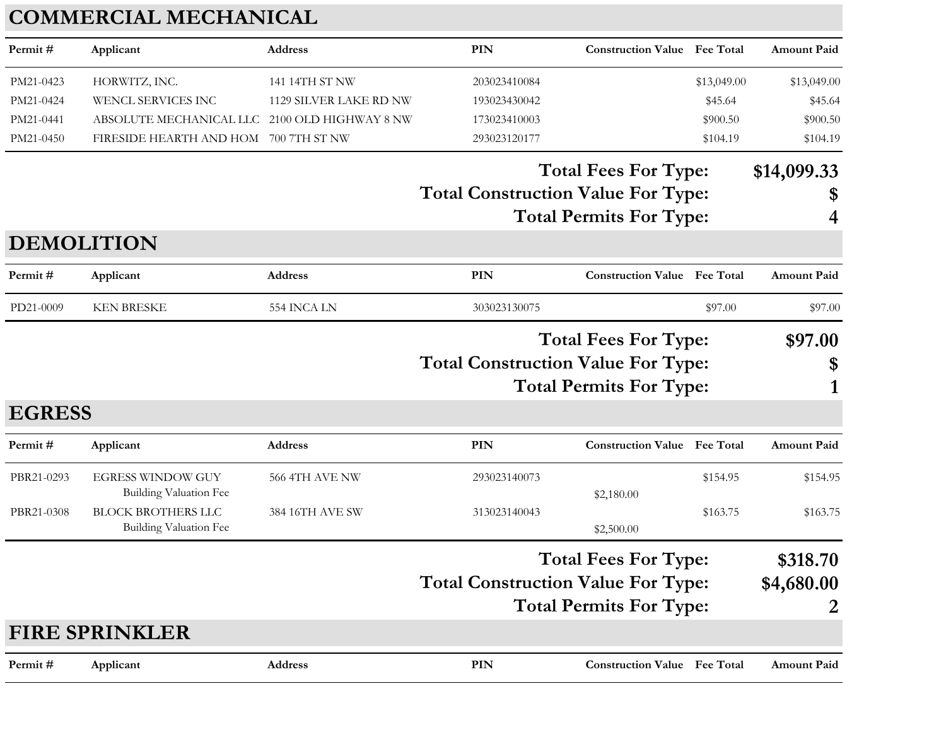## **COMMERCIAL MECHANICAL**

| Permit#           | Applicant                                                  | <b>Address</b>         | <b>PIN</b>                                | <b>Construction Value</b> Fee Total |             | <b>Amount Paid</b> |
|-------------------|------------------------------------------------------------|------------------------|-------------------------------------------|-------------------------------------|-------------|--------------------|
| PM21-0423         | HORWITZ, INC.                                              | 141 14TH ST NW         | 203023410084                              |                                     | \$13,049.00 | \$13,049.00        |
| PM21-0424         | WENCL SERVICES INC                                         | 1129 SILVER LAKE RD NW | 193023430042                              |                                     | \$45.64     | \$45.64            |
| PM21-0441         | ABSOLUTE MECHANICAL LLC 2100 OLD HIGHWAY 8 NW              |                        | 173023410003                              |                                     | \$900.50    | \$900.50           |
| PM21-0450         | FIRESIDE HEARTH AND HOM                                    | 700 7TH ST NW          | 293023120177                              |                                     | \$104.19    | \$104.19           |
|                   |                                                            |                        |                                           | <b>Total Fees For Type:</b>         |             | \$14,099.33        |
|                   |                                                            |                        | <b>Total Construction Value For Type:</b> |                                     |             | \$                 |
|                   |                                                            |                        |                                           | <b>Total Permits For Type:</b>      |             | 4                  |
| <b>DEMOLITION</b> |                                                            |                        |                                           |                                     |             |                    |
| Permit#           | Applicant                                                  | <b>Address</b>         | <b>PIN</b>                                | <b>Construction Value</b> Fee Total |             | <b>Amount Paid</b> |
| PD21-0009         | <b>KEN BRESKE</b>                                          | 554 INCA LN            | 303023130075                              |                                     | \$97.00     | \$97.00            |
|                   |                                                            |                        |                                           | <b>Total Fees For Type:</b>         |             | \$97.00            |
|                   |                                                            |                        | <b>Total Construction Value For Type:</b> |                                     |             | \$                 |
|                   |                                                            |                        |                                           | <b>Total Permits For Type:</b>      |             |                    |
| <b>EGRESS</b>     |                                                            |                        |                                           |                                     |             |                    |
|                   |                                                            |                        |                                           |                                     |             |                    |
| Permit#           | Applicant                                                  | <b>Address</b>         | <b>PIN</b>                                | <b>Construction Value Fee Total</b> |             | <b>Amount Paid</b> |
| PBR21-0293        | <b>EGRESS WINDOW GUY</b>                                   | 566 4TH AVE NW         | 293023140073                              |                                     | \$154.95    | \$154.95           |
|                   | <b>Building Valuation Fee</b>                              |                        |                                           | \$2,180.00                          |             |                    |
| PBR21-0308        | <b>BLOCK BROTHERS LLC</b><br><b>Building Valuation Fee</b> | 384 16TH AVE SW        | 313023140043                              | \$2,500.00                          | \$163.75    | \$163.75           |
|                   |                                                            |                        |                                           | <b>Total Fees For Type:</b>         |             | \$318.70           |
|                   |                                                            |                        | <b>Total Construction Value For Type:</b> |                                     |             | \$4,680.00         |
|                   |                                                            |                        |                                           | <b>Total Permits For Type:</b>      |             |                    |
|                   | <b>FIRE SPRINKLER</b>                                      |                        |                                           |                                     |             |                    |
| Permit#           | Applicant                                                  | Address                | PIN                                       | <b>Construction Value Fee Total</b> |             | <b>Amount Paid</b> |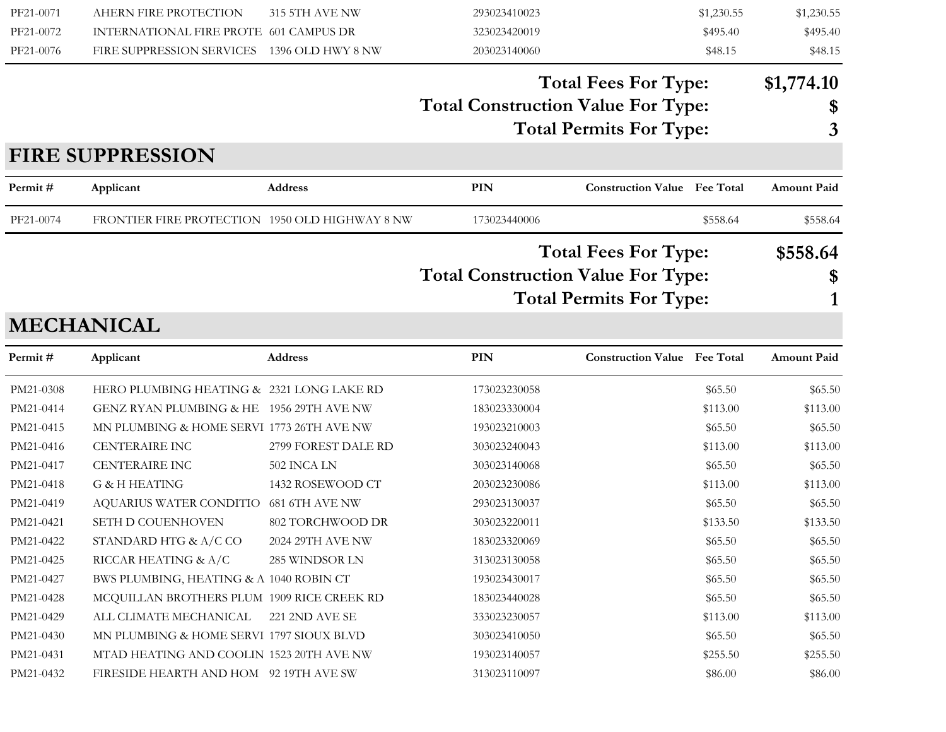| PF21-0071<br>PF21-0072<br>PF21-0076 | AHERN FIRE PROTECTION<br>INTERNATIONAL FIRE PROTE 601 CAMPUS DR<br>FIRE SUPPRESSION SERVICES 1396 OLD HWY 8 NW | 315 5TH AVE NW      | 293023410023<br>323023420019<br>203023140060 | \$1,230.55<br>\$495.40<br>\$48.15                             | \$1,230.55<br>\$495.40<br>\$48.15 |
|-------------------------------------|----------------------------------------------------------------------------------------------------------------|---------------------|----------------------------------------------|---------------------------------------------------------------|-----------------------------------|
|                                     |                                                                                                                |                     | <b>Total Construction Value For Type:</b>    | <b>Total Fees For Type:</b><br><b>Total Permits For Type:</b> | \$1,774.10<br>\$<br>3             |
|                                     | <b>FIRE SUPPRESSION</b>                                                                                        |                     |                                              |                                                               |                                   |
| Permit#                             | Applicant                                                                                                      | <b>Address</b>      | <b>PIN</b>                                   | <b>Construction Value</b> Fee Total                           | <b>Amount Paid</b>                |
| PF21-0074                           | FRONTIER FIRE PROTECTION 1950 OLD HIGHWAY 8 NW                                                                 |                     | 173023440006                                 | \$558.64                                                      | \$558.64                          |
|                                     |                                                                                                                |                     |                                              | <b>Total Fees For Type:</b>                                   | \$558.64                          |
|                                     |                                                                                                                |                     | <b>Total Construction Value For Type:</b>    |                                                               | \$                                |
|                                     |                                                                                                                |                     |                                              | <b>Total Permits For Type:</b>                                |                                   |
|                                     | <b>MECHANICAL</b>                                                                                              |                     |                                              |                                                               |                                   |
| Permit#                             | Applicant                                                                                                      | <b>Address</b>      | PIN                                          | <b>Construction Value Fee Total</b>                           | <b>Amount Paid</b>                |
| PM21-0308                           | HERO PLUMBING HEATING & 2321 LONG LAKE RD                                                                      |                     | 173023230058                                 | \$65.50                                                       | \$65.50                           |
| PM21-0414                           | GENZ RYAN PLUMBING & HE 1956 29TH AVE NW                                                                       |                     | 183023330004                                 | \$113.00                                                      | \$113.00                          |
| PM21-0415                           | MN PLUMBING & HOME SERVI 1773 26TH AVE NW                                                                      |                     | 193023210003                                 | \$65.50                                                       | \$65.50                           |
| PM21-0416                           | <b>CENTERAIRE INC</b>                                                                                          | 2799 FOREST DALE RD | 303023240043                                 | \$113.00                                                      | \$113.00                          |
| PM21-0417                           | <b>CENTERAIRE INC</b>                                                                                          | 502 INCA LN         | 303023140068                                 | \$65.50                                                       | \$65.50                           |
| PM21-0418                           | <b>G &amp; H HEATING</b>                                                                                       | 1432 ROSEWOOD CT    | 203023230086                                 | \$113.00                                                      | \$113.00                          |
| PM21-0419                           | AQUARIUS WATER CONDITIO 681 6TH AVE NW                                                                         |                     | 293023130037                                 | \$65.50                                                       | \$65.50                           |
| PM21-0421                           | SETH D COUENHOVEN                                                                                              | 802 TORCHWOOD DR    | 303023220011                                 | \$133.50                                                      | \$133.50                          |
| PM21-0422                           | STANDARD HTG & A/C CO                                                                                          | 2024 29TH AVE NW    | 183023320069                                 | \$65.50                                                       | \$65.50                           |
| PM21-0425                           | RICCAR HEATING & A/C                                                                                           | 285 WINDSOR LN      | 313023130058                                 | \$65.50                                                       | \$65.50                           |
| PM21-0427                           | BWS PLUMBING, HEATING & A 1040 ROBIN CT                                                                        |                     | 193023430017                                 | \$65.50                                                       | \$65.50                           |
| PM21-0428                           | MCQUILLAN BROTHERS PLUM 1909 RICE CREEK RD                                                                     |                     | 183023440028                                 | \$65.50                                                       | \$65.50                           |
| PM21-0429                           | ALL CLIMATE MECHANICAL                                                                                         | 221 2ND AVE SE      | 333023230057                                 | \$113.00                                                      | \$113.00                          |
| PM21-0430                           | MN PLUMBING & HOME SERVI 1797 SIOUX BLVD                                                                       |                     | 303023410050                                 | \$65.50                                                       | \$65.50                           |
| PM21-0431                           | MTAD HEATING AND COOLIN 1523 20TH AVE NW                                                                       |                     | 193023140057                                 | \$255.50                                                      | \$255.50                          |
| PM21-0432                           | FIRESIDE HEARTH AND HOM 92 19TH AVE SW                                                                         |                     | 313023110097                                 | \$86.00                                                       | \$86.00                           |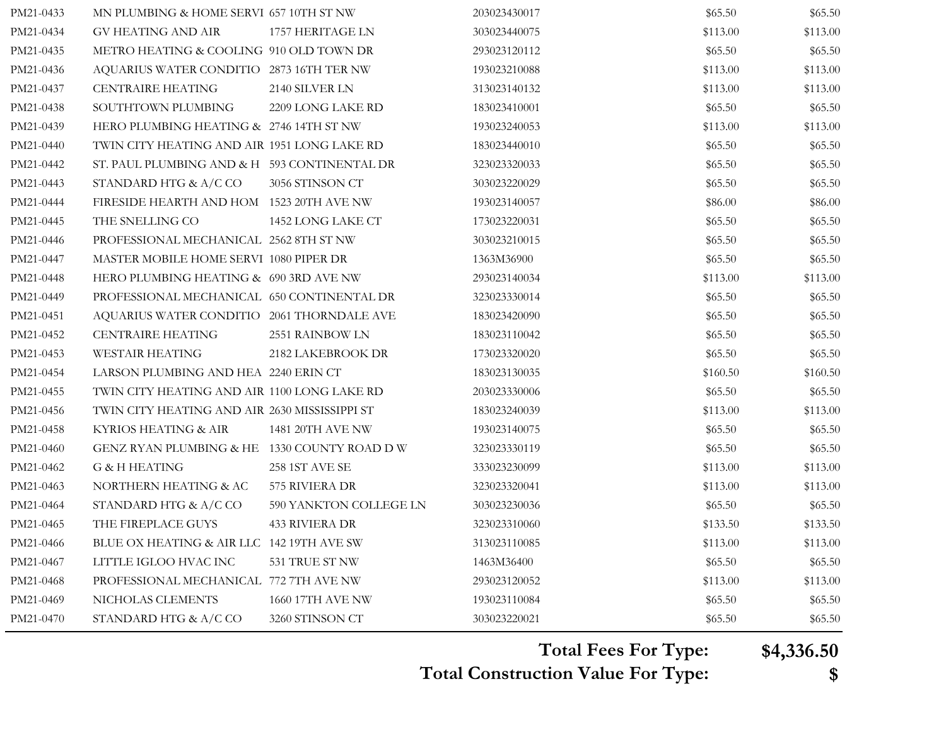| PM21-0434 | GV HEATING AND AIR                            | 1757 HERITAGE LN       | 303023440075 | \$113.00 | \$113.00 |
|-----------|-----------------------------------------------|------------------------|--------------|----------|----------|
| PM21-0435 | METRO HEATING & COOLING 910 OLD TOWN DR       |                        | 293023120112 | \$65.50  | \$65.50  |
| PM21-0436 | AQUARIUS WATER CONDITIO 2873 16TH TER NW      |                        | 193023210088 | \$113.00 | \$113.00 |
| PM21-0437 | <b>CENTRAIRE HEATING</b>                      | 2140 SILVER LN         | 313023140132 | \$113.00 | \$113.00 |
| PM21-0438 | SOUTHTOWN PLUMBING                            | 2209 LONG LAKE RD      | 183023410001 | \$65.50  | \$65.50  |
| PM21-0439 | HERO PLUMBING HEATING & 2746 14TH ST NW       |                        | 193023240053 | \$113.00 | \$113.00 |
| PM21-0440 | TWIN CITY HEATING AND AIR 1951 LONG LAKE RD   |                        | 183023440010 | \$65.50  | \$65.50  |
| PM21-0442 | ST. PAUL PLUMBING AND & H 593 CONTINENTAL DR  |                        | 323023320033 | \$65.50  | \$65.50  |
| PM21-0443 | STANDARD HTG & A/C CO                         | 3056 STINSON CT        | 303023220029 | \$65.50  | \$65.50  |
| PM21-0444 | FIRESIDE HEARTH AND HOM 1523 20TH AVE NW      |                        | 193023140057 | \$86.00  | \$86.00  |
| PM21-0445 | THE SNELLING CO                               | 1452 LONG LAKE CT      | 173023220031 | \$65.50  | \$65.50  |
| PM21-0446 | PROFESSIONAL MECHANICAL 2562 8TH ST NW        |                        | 303023210015 | \$65.50  | \$65.50  |
| PM21-0447 | MASTER MOBILE HOME SERVI 1080 PIPER DR        |                        | 1363M36900   | \$65.50  | \$65.50  |
| PM21-0448 | HERO PLUMBING HEATING & 690 3RD AVE NW        |                        | 293023140034 | \$113.00 | \$113.00 |
| PM21-0449 | PROFESSIONAL MECHANICAL 650 CONTINENTAL DR    |                        | 323023330014 | \$65.50  | \$65.50  |
| PM21-0451 | AQUARIUS WATER CONDITIO 2061 THORNDALE AVE    |                        | 183023420090 | \$65.50  | \$65.50  |
| PM21-0452 | <b>CENTRAIRE HEATING</b>                      | 2551 RAINBOW LN        | 183023110042 | \$65.50  | \$65.50  |
| PM21-0453 | <b>WESTAIR HEATING</b>                        | 2182 LAKEBROOK DR      | 173023320020 | \$65.50  | \$65.50  |
| PM21-0454 | LARSON PLUMBING AND HEA 2240 ERIN CT          |                        | 183023130035 | \$160.50 | \$160.50 |
| PM21-0455 | TWIN CITY HEATING AND AIR 1100 LONG LAKE RD   |                        | 203023330006 | \$65.50  | \$65.50  |
| PM21-0456 | TWIN CITY HEATING AND AIR 2630 MISSISSIPPI ST |                        | 183023240039 | \$113.00 | \$113.00 |
| PM21-0458 | KYRIOS HEATING & AIR                          | 1481 20TH AVE NW       | 193023140075 | \$65.50  | \$65.50  |
| PM21-0460 | GENZ RYAN PLUMBING & HE 1330 COUNTY ROAD DW   |                        | 323023330119 | \$65.50  | \$65.50  |
| PM21-0462 | G & H HEATING                                 | 258 1ST AVE SE         | 333023230099 | \$113.00 | \$113.00 |
| PM21-0463 | NORTHERN HEATING & AC                         | 575 RIVIERA DR         | 323023320041 | \$113.00 | \$113.00 |
| PM21-0464 | STANDARD HTG & A/C CO                         | 590 YANKTON COLLEGE LN | 303023230036 | \$65.50  | \$65.50  |
| PM21-0465 | THE FIREPLACE GUYS                            | <b>433 RIVIERA DR</b>  | 323023310060 | \$133.50 | \$133.50 |
| PM21-0466 | BLUE OX HEATING & AIR LLC 142 19TH AVE SW     |                        | 313023110085 | \$113.00 | \$113.00 |
| PM21-0467 | LITTLE IGLOO HVAC INC                         | 531 TRUE ST NW         | 1463M36400   | \$65.50  | \$65.50  |
| PM21-0468 | PROFESSIONAL MECHANICAL 772 7TH AVE NW        |                        | 293023120052 | \$113.00 | \$113.00 |
| PM21-0469 | NICHOLAS CLEMENTS                             | 1660 17TH AVE NW       | 193023110084 | \$65.50  | \$65.50  |
| PM21-0470 | STANDARD HTG & A/C CO                         | 3260 STINSON CT        | 303023220021 | \$65.50  | \$65.50  |

**Total Fees For Type: \$4,336.50**

**Total Construction Value For Type: \$**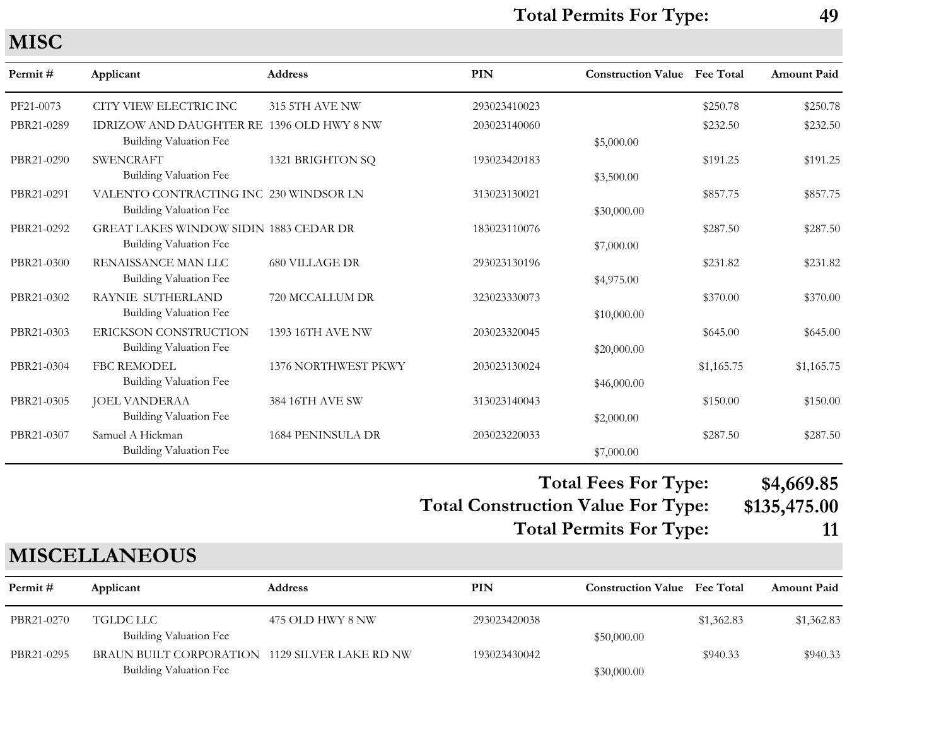**MISC**

| Permit#    | Applicant                                     | <b>Address</b>           | <b>PIN</b>   | <b>Construction Value</b> Fee Total |            | Amount Paid |
|------------|-----------------------------------------------|--------------------------|--------------|-------------------------------------|------------|-------------|
| PF21-0073  | CITY VIEW ELECTRIC INC                        | 315 5TH AVE NW           | 293023410023 |                                     | \$250.78   | \$250.78    |
| PBR21-0289 | IDRIZOW AND DAUGHTER RE 1396 OLD HWY 8 NW     |                          | 203023140060 |                                     | \$232.50   | \$232.50    |
|            | Building Valuation Fee                        |                          |              | \$5,000.00                          |            |             |
| PBR21-0290 | <b>SWENCRAFT</b>                              | 1321 BRIGHTON SQ         | 193023420183 |                                     | \$191.25   | \$191.25    |
|            | Building Valuation Fee                        |                          |              | \$3,500.00                          |            |             |
| PBR21-0291 | VALENTO CONTRACTING INC 230 WINDSOR LN        |                          | 313023130021 |                                     | \$857.75   | \$857.75    |
|            | Building Valuation Fee                        |                          |              | \$30,000.00                         |            |             |
| PBR21-0292 | <b>GREAT LAKES WINDOW SIDIN 1883 CEDAR DR</b> |                          | 183023110076 |                                     | \$287.50   | \$287.50    |
|            | Building Valuation Fee                        |                          |              | \$7,000.00                          |            |             |
| PBR21-0300 | RENAISSANCE MAN LLC                           | <b>680 VILLAGE DR</b>    | 293023130196 |                                     | \$231.82   | \$231.82    |
|            | Building Valuation Fee                        |                          |              | \$4,975.00                          |            |             |
| PBR21-0302 | RAYNIE SUTHERLAND                             | 720 MCCALLUM DR          | 323023330073 |                                     | \$370.00   | \$370.00    |
|            | Building Valuation Fee                        |                          |              | \$10,000.00                         |            |             |
| PBR21-0303 | ERICKSON CONSTRUCTION                         | <b>1393 16TH AVE NW</b>  | 203023320045 |                                     | \$645.00   | \$645.00    |
|            | <b>Building Valuation Fee</b>                 |                          |              | \$20,000.00                         |            |             |
| PBR21-0304 | <b>FBC REMODEL</b>                            | 1376 NORTHWEST PKWY      | 203023130024 |                                     | \$1,165.75 | \$1,165.75  |
|            | Building Valuation Fee                        |                          |              | \$46,000.00                         |            |             |
| PBR21-0305 | <b>JOEL VANDERAA</b>                          | 384 16TH AVE SW          | 313023140043 |                                     | \$150.00   | \$150.00    |
|            | Building Valuation Fee                        |                          |              | \$2,000.00                          |            |             |
| PBR21-0307 | Samuel A Hickman                              | <b>1684 PENINSULA DR</b> | 203023220033 |                                     | \$287.50   | \$287.50    |
|            | <b>Building Valuation Fee</b>                 |                          |              | \$7,000.00                          |            |             |

#### **Total Construction Value For Type: \$135,475.00 Total Fees For Type: \$4,669.85 Total Permits For Type: 11**

### **MISCELLANEOUS**

| Permit #   | Applicant                                      | Address          | PIN          | <b>Construction Value</b> Fee Total |            | <b>Amount Paid</b> |
|------------|------------------------------------------------|------------------|--------------|-------------------------------------|------------|--------------------|
| PBR21-0270 | TGLDC LLC<br>Building Valuation Fee            | 475 OLD HWY 8 NW | 293023420038 | \$50,000.00                         | \$1,362.83 | \$1,362.83         |
| PBR21-0295 | BRAUN BUILT CORPORATION 1129 SILVER LAKE RD NW |                  | 193023430042 |                                     | \$940.33   | \$940.33           |
|            | Building Valuation Fee                         |                  |              | \$30,000.00                         |            |                    |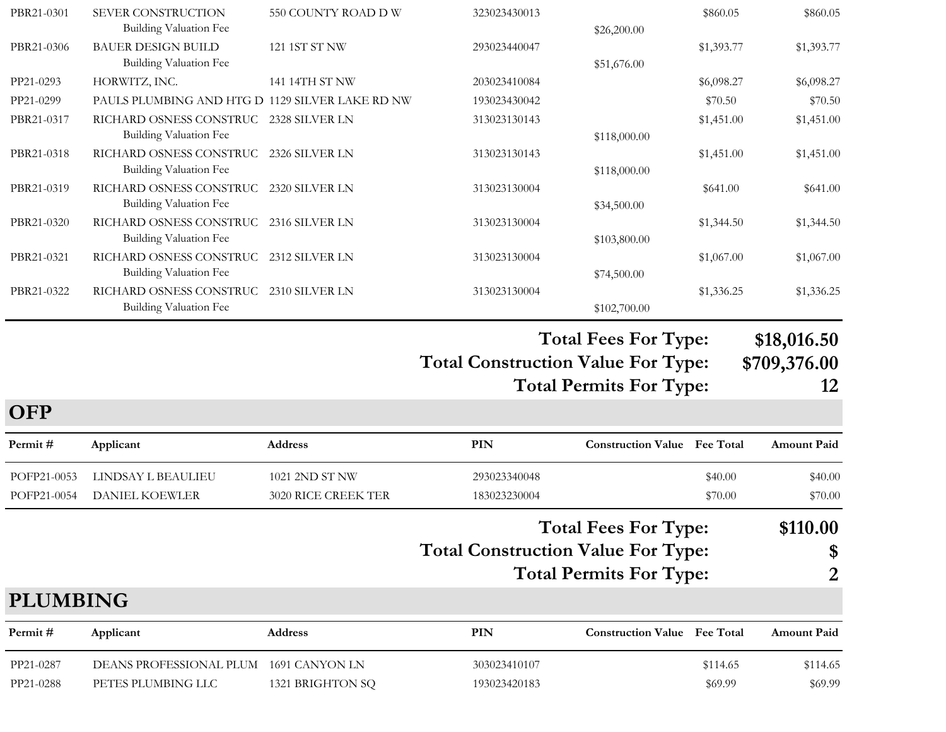| PBR21-0301 | SEVER CONSTRUCTION                              | 550 COUNTY ROAD D W | 323023430013 |              | \$860.05   | \$860.05   |
|------------|-------------------------------------------------|---------------------|--------------|--------------|------------|------------|
|            | Building Valuation Fee                          |                     |              | \$26,200.00  |            |            |
| PBR21-0306 | <b>BAUER DESIGN BUILD</b>                       | 121 1ST ST NW       | 293023440047 |              | \$1,393.77 | \$1,393.77 |
|            | Building Valuation Fee                          |                     |              | \$51,676.00  |            |            |
| PP21-0293  | HORWITZ, INC.                                   | 141 14TH ST NW      | 203023410084 |              | \$6,098.27 | \$6,098.27 |
| PP21-0299  | PAULS PLUMBING AND HTG D 1129 SILVER LAKE RD NW |                     | 193023430042 |              | \$70.50    | \$70.50    |
| PBR21-0317 | RICHARD OSNESS CONSTRUC 2328 SILVER LN          |                     | 313023130143 |              | \$1,451.00 | \$1,451.00 |
|            | Building Valuation Fee                          |                     |              | \$118,000.00 |            |            |
| PBR21-0318 | RICHARD OSNESS CONSTRUC                         | 2326 SILVER LN      | 313023130143 |              | \$1,451.00 | \$1,451.00 |
|            | Building Valuation Fee                          |                     |              | \$118,000.00 |            |            |
| PBR21-0319 | RICHARD OSNESS CONSTRUC                         | 2320 SILVER LN      | 313023130004 |              | \$641.00   | \$641.00   |
|            | Building Valuation Fee                          |                     |              | \$34,500.00  |            |            |
| PBR21-0320 | RICHARD OSNESS CONSTRUC                         | 2316 SILVER LN      | 313023130004 |              | \$1,344.50 | \$1,344.50 |
|            | Building Valuation Fee                          |                     |              | \$103,800.00 |            |            |
| PBR21-0321 | RICHARD OSNESS CONSTRUC                         | 2312 SILVER LN      | 313023130004 |              | \$1,067.00 | \$1,067.00 |
|            | Building Valuation Fee                          |                     |              | \$74,500.00  |            |            |
| PBR21-0322 | RICHARD OSNESS CONSTRUC                         | 2310 SILVER LN      | 313023130004 |              | \$1,336.25 | \$1,336.25 |
|            | Building Valuation Fee                          |                     |              | \$102,700.00 |            |            |

#### **Total Construction Value For Type: \$709,376.00 Total Fees For Type: \$18,016.50 Total Permits For Type: 12**

| <b>UFF</b>      |                         |                            |                                           |                                                               |                  |                     |
|-----------------|-------------------------|----------------------------|-------------------------------------------|---------------------------------------------------------------|------------------|---------------------|
| Permit #        | Applicant               | <b>Address</b>             | PIN                                       | <b>Construction Value</b>                                     | <b>Fee Total</b> | <b>Amount Paid</b>  |
| POFP21-0053     | LINDSAY L BEAULIEU      | 1021 2ND ST NW             | 293023340048                              |                                                               | \$40.00          | \$40.00             |
| POFP21-0054     | <b>DANIEL KOEWLER</b>   | <b>3020 RICE CREEK TER</b> | 183023230004                              |                                                               | \$70.00          | \$70.00             |
|                 |                         |                            | <b>Total Construction Value For Type:</b> | <b>Total Fees For Type:</b><br><b>Total Permits For Type:</b> |                  | \$110.00<br>\$<br>2 |
| <b>PLUMBING</b> |                         |                            |                                           |                                                               |                  |                     |
| Permit #        | Applicant               | <b>Address</b>             | PIN                                       | <b>Construction Value</b>                                     | <b>Fee Total</b> | <b>Amount Paid</b>  |
| PP21-0287       | DEANS PROFESSIONAL PLUM | 1691 CANYON LN             | 303023410107                              |                                                               | \$114.65         | \$114.65            |
| PP21-0288       | PETES PLUMBING LLC      | 1321 BRIGHTON SQ           | 193023420183                              |                                                               | \$69.99          | \$69.99             |

 $\Omega$ **P**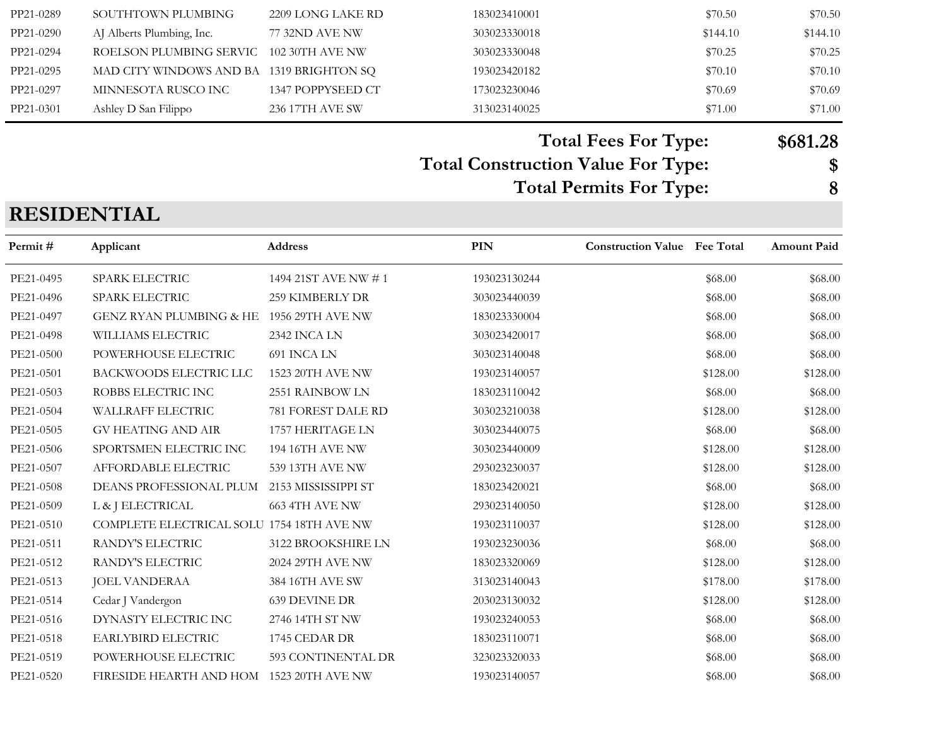| PP21-0289 | SOUTHTOWN PLUMBING                       | 2209 LONG LAKE RD | 183023410001 | \$70.50  | \$70.50  |
|-----------|------------------------------------------|-------------------|--------------|----------|----------|
| PP21-0290 | AJ Alberts Plumbing, Inc.                | 77 32ND AVE NW    | 303023330018 | \$144.10 | \$144.10 |
| PP21-0294 | ROELSON PLUMBING SERVIC 102 30TH AVE NW  |                   | 303023330048 | \$70.25  | \$70.25  |
| PP21-0295 | MAD CITY WINDOWS AND BA 1319 BRIGHTON SQ |                   | 193023420182 | \$70.10  | \$70.10  |
| PP21-0297 | MINNESOTA RUSCO INC                      | 1347 POPPYSEED CT | 173023230046 | \$70.69  | \$70.69  |
| PP21-0301 | Ashley D San Filippo                     | 236 17TH AVE SW   | 313023140025 | \$71.00  | \$71.00  |

### **Total Fees For Type: \$681.28**

## **Total Construction Value For Type: \$**

**Total Permits For Type: 8**

#### **RESIDENTIAL**

| Permit #  | Applicant                                 | <b>Address</b>       | <b>PIN</b>   | <b>Construction Value</b> Fee Total |          | <b>Amount Paid</b> |
|-----------|-------------------------------------------|----------------------|--------------|-------------------------------------|----------|--------------------|
| PE21-0495 | <b>SPARK ELECTRIC</b>                     | 1494 21ST AVE NW # 1 | 193023130244 |                                     | \$68.00  | \$68.00            |
| PE21-0496 | SPARK ELECTRIC                            | 259 KIMBERLY DR      | 303023440039 |                                     | \$68.00  | \$68.00            |
| PE21-0497 | <b>GENZ RYAN PLUMBING &amp; HE</b>        | 1956 29TH AVE NW     | 183023330004 |                                     | \$68.00  | \$68.00            |
| PE21-0498 | WILLIAMS ELECTRIC                         | 2342 INCA LN         | 303023420017 |                                     | \$68.00  | \$68.00            |
| PE21-0500 | POWERHOUSE ELECTRIC                       | 691 INCA LN          | 303023140048 |                                     | \$68.00  | \$68.00            |
| PE21-0501 | <b>BACKWOODS ELECTRIC LLC</b>             | 1523 20TH AVE NW     | 193023140057 |                                     | \$128.00 | \$128.00           |
| PE21-0503 | ROBBS ELECTRIC INC                        | 2551 RAINBOW LN      | 183023110042 |                                     | \$68.00  | \$68.00            |
| PE21-0504 | WALLRAFF ELECTRIC                         | 781 FOREST DALE RD   | 303023210038 |                                     | \$128.00 | \$128.00           |
| PE21-0505 | <b>GV HEATING AND AIR</b>                 | 1757 HERITAGE LN     | 303023440075 |                                     | \$68.00  | \$68.00            |
| PE21-0506 | SPORTSMEN ELECTRIC INC                    | 194 16TH AVE NW      | 303023440009 |                                     | \$128.00 | \$128.00           |
| PE21-0507 | AFFORDABLE ELECTRIC                       | 539 13TH AVE NW      | 293023230037 |                                     | \$128.00 | \$128.00           |
| PE21-0508 | DEANS PROFESSIONAL PLUM                   | 2153 MISSISSIPPI ST  | 183023420021 |                                     | \$68.00  | \$68.00            |
| PE21-0509 | L & J ELECTRICAL                          | 663 4TH AVE NW       | 293023140050 |                                     | \$128.00 | \$128.00           |
| PE21-0510 | COMPLETE ELECTRICAL SOLU 1754 18TH AVE NW |                      | 193023110037 |                                     | \$128.00 | \$128.00           |
| PE21-0511 | RANDY'S ELECTRIC                          | 3122 BROOKSHIRE LN   | 193023230036 |                                     | \$68.00  | \$68.00            |
| PE21-0512 | RANDY'S ELECTRIC                          | 2024 29TH AVE NW     | 183023320069 |                                     | \$128.00 | \$128.00           |
| PE21-0513 | <b>JOEL VANDERAA</b>                      | 384 16TH AVE SW      | 313023140043 |                                     | \$178.00 | \$178.00           |
| PE21-0514 | Cedar J Vandergon                         | 639 DEVINE DR        | 203023130032 |                                     | \$128.00 | \$128.00           |
| PE21-0516 | DYNASTY ELECTRIC INC                      | 2746 14TH ST NW      | 193023240053 |                                     | \$68.00  | \$68.00            |
| PE21-0518 | EARLYBIRD ELECTRIC                        | 1745 CEDAR DR        | 183023110071 |                                     | \$68.00  | \$68.00            |
| PE21-0519 | POWERHOUSE ELECTRIC                       | 593 CONTINENTAL DR   | 323023320033 |                                     | \$68.00  | \$68.00            |
| PE21-0520 | FIRESIDE HEARTH AND HOM 1523 20TH AVE NW  |                      | 193023140057 |                                     | \$68.00  | \$68.00            |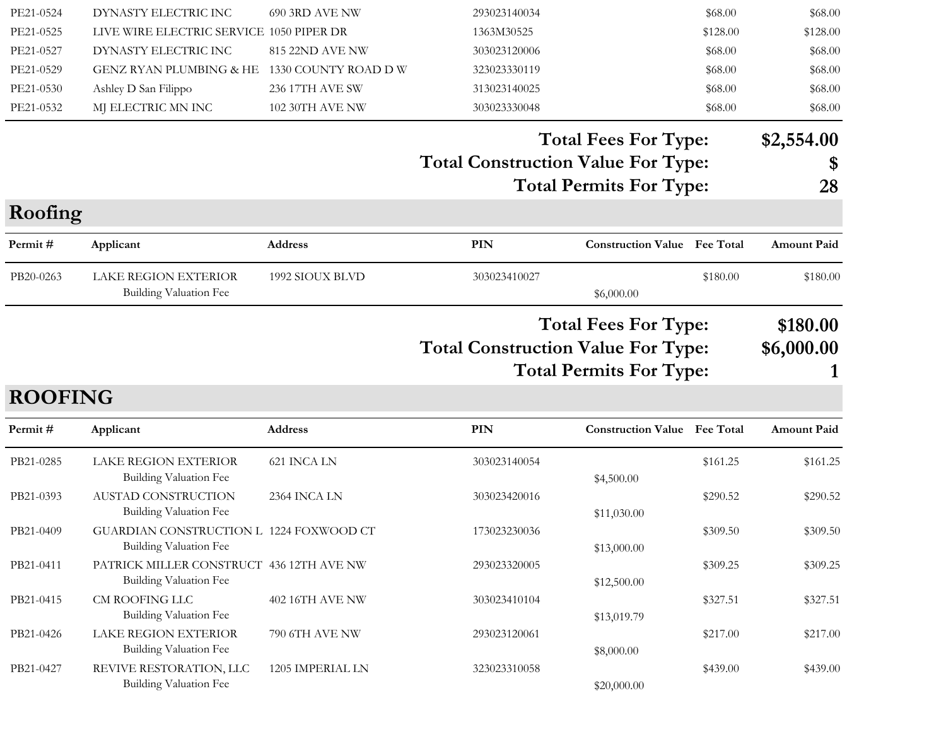| <b>ROOFING</b><br>Permit#<br>PB21-0285<br>PB21-0393<br>PB21-0409<br>PB21-0411<br>PB21-0415<br>PB21-0426<br>PB21-0427 | Applicant<br><b>LAKE REGION EXTERIOR</b><br><b>Building Valuation Fee</b><br>AUSTAD CONSTRUCTION<br><b>Building Valuation Fee</b><br>GUARDIAN CONSTRUCTION L 1224 FOXWOOD CT<br><b>Building Valuation Fee</b><br>PATRICK MILLER CONSTRUCT 436 12TH AVE NW<br><b>Building Valuation Fee</b><br>CM ROOFING LLC<br><b>Building Valuation Fee</b><br><b>LAKE REGION EXTERIOR</b><br><b>Building Valuation Fee</b><br>REVIVE RESTORATION, LLC<br><b>Building Valuation Fee</b> | Address<br>621 INCA LN<br>2364 INCA LN<br>402 16TH AVE NW<br>790 6TH AVE NW<br>1205 IMPERIAL LN | PIN<br>303023140054<br>303023420016<br>173023230036<br>293023320005<br>303023410104<br>293023120061<br>323023310058 | <b>Construction Value</b><br>\$4,500.00<br>\$11,030.00<br>\$13,000.00<br>\$12,500.00<br>\$13,019.79<br>\$8,000.00 | <b>Fee Total</b><br>\$161.25<br>\$290.52<br>\$309.50<br>\$309.25<br>\$327.51<br>\$217.00<br>\$439.00 | <b>Amount Paid</b><br>\$161.25<br>\$290.52<br>\$309.50<br>\$309.25<br>\$327.51<br>\$217.00<br>\$439.00 |
|----------------------------------------------------------------------------------------------------------------------|---------------------------------------------------------------------------------------------------------------------------------------------------------------------------------------------------------------------------------------------------------------------------------------------------------------------------------------------------------------------------------------------------------------------------------------------------------------------------|-------------------------------------------------------------------------------------------------|---------------------------------------------------------------------------------------------------------------------|-------------------------------------------------------------------------------------------------------------------|------------------------------------------------------------------------------------------------------|--------------------------------------------------------------------------------------------------------|
|                                                                                                                      |                                                                                                                                                                                                                                                                                                                                                                                                                                                                           |                                                                                                 |                                                                                                                     |                                                                                                                   |                                                                                                      |                                                                                                        |
|                                                                                                                      |                                                                                                                                                                                                                                                                                                                                                                                                                                                                           |                                                                                                 |                                                                                                                     |                                                                                                                   |                                                                                                      |                                                                                                        |
|                                                                                                                      |                                                                                                                                                                                                                                                                                                                                                                                                                                                                           |                                                                                                 |                                                                                                                     |                                                                                                                   |                                                                                                      |                                                                                                        |
|                                                                                                                      |                                                                                                                                                                                                                                                                                                                                                                                                                                                                           |                                                                                                 |                                                                                                                     |                                                                                                                   |                                                                                                      |                                                                                                        |
|                                                                                                                      |                                                                                                                                                                                                                                                                                                                                                                                                                                                                           |                                                                                                 |                                                                                                                     |                                                                                                                   |                                                                                                      |                                                                                                        |
|                                                                                                                      |                                                                                                                                                                                                                                                                                                                                                                                                                                                                           |                                                                                                 |                                                                                                                     |                                                                                                                   |                                                                                                      |                                                                                                        |
|                                                                                                                      |                                                                                                                                                                                                                                                                                                                                                                                                                                                                           |                                                                                                 |                                                                                                                     |                                                                                                                   |                                                                                                      |                                                                                                        |
|                                                                                                                      |                                                                                                                                                                                                                                                                                                                                                                                                                                                                           |                                                                                                 |                                                                                                                     |                                                                                                                   |                                                                                                      |                                                                                                        |
|                                                                                                                      |                                                                                                                                                                                                                                                                                                                                                                                                                                                                           |                                                                                                 | <b>Total Construction Value For Type:</b>                                                                           | <b>Total Fees For Type:</b><br><b>Total Permits For Type:</b>                                                     |                                                                                                      | \$180.00<br>\$6,000.00                                                                                 |
| PB20-0263                                                                                                            | <b>LAKE REGION EXTERIOR</b><br><b>Building Valuation Fee</b>                                                                                                                                                                                                                                                                                                                                                                                                              | 1992 SIOUX BLVD                                                                                 | 303023410027                                                                                                        | \$6,000.00                                                                                                        | \$180.00                                                                                             | \$180.00                                                                                               |
| Permit#                                                                                                              | Applicant                                                                                                                                                                                                                                                                                                                                                                                                                                                                 | Address                                                                                         | PIN                                                                                                                 | <b>Construction Value Fee Total</b>                                                                               |                                                                                                      | <b>Amount Paid</b>                                                                                     |
| Roofing                                                                                                              |                                                                                                                                                                                                                                                                                                                                                                                                                                                                           |                                                                                                 |                                                                                                                     |                                                                                                                   |                                                                                                      |                                                                                                        |
|                                                                                                                      |                                                                                                                                                                                                                                                                                                                                                                                                                                                                           |                                                                                                 |                                                                                                                     | <b>Total Permits For Type:</b>                                                                                    |                                                                                                      | 28                                                                                                     |
|                                                                                                                      |                                                                                                                                                                                                                                                                                                                                                                                                                                                                           |                                                                                                 | <b>Total Construction Value For Type:</b>                                                                           |                                                                                                                   |                                                                                                      | $\boldsymbol{\mathsf{S}}$                                                                              |
|                                                                                                                      |                                                                                                                                                                                                                                                                                                                                                                                                                                                                           |                                                                                                 |                                                                                                                     | <b>Total Fees For Type:</b>                                                                                       |                                                                                                      | \$2,554.00                                                                                             |
| PE21-0532                                                                                                            | MJ ELECTRIC MN INC                                                                                                                                                                                                                                                                                                                                                                                                                                                        | 102 30TH AVE NW                                                                                 | 303023330048                                                                                                        |                                                                                                                   | \$68.00                                                                                              | \$68.00                                                                                                |
| PE21-0529<br>PE21-0530                                                                                               | GENZ RYAN PLUMBING & HE 1330 COUNTY ROAD D W<br>Ashley D San Filippo                                                                                                                                                                                                                                                                                                                                                                                                      | 236 17TH AVE SW                                                                                 | 323023330119<br>313023140025                                                                                        |                                                                                                                   | \$68.00<br>\$68.00                                                                                   | \$68.00<br>\$68.00                                                                                     |
|                                                                                                                      | DYNASTY ELECTRIC INC                                                                                                                                                                                                                                                                                                                                                                                                                                                      | 815 22ND AVE NW                                                                                 | 303023120006                                                                                                        |                                                                                                                   | \$68.00                                                                                              | \$68.00                                                                                                |
|                                                                                                                      | LIVE WIRE ELECTRIC SERVICE 1050 PIPER DR                                                                                                                                                                                                                                                                                                                                                                                                                                  |                                                                                                 | 1363M30525                                                                                                          |                                                                                                                   | \$128.00                                                                                             | \$128.00                                                                                               |
| PE21-0525<br>PE21-0527                                                                                               |                                                                                                                                                                                                                                                                                                                                                                                                                                                                           |                                                                                                 | 293023140034                                                                                                        |                                                                                                                   | \$68.00                                                                                              | \$68.00                                                                                                |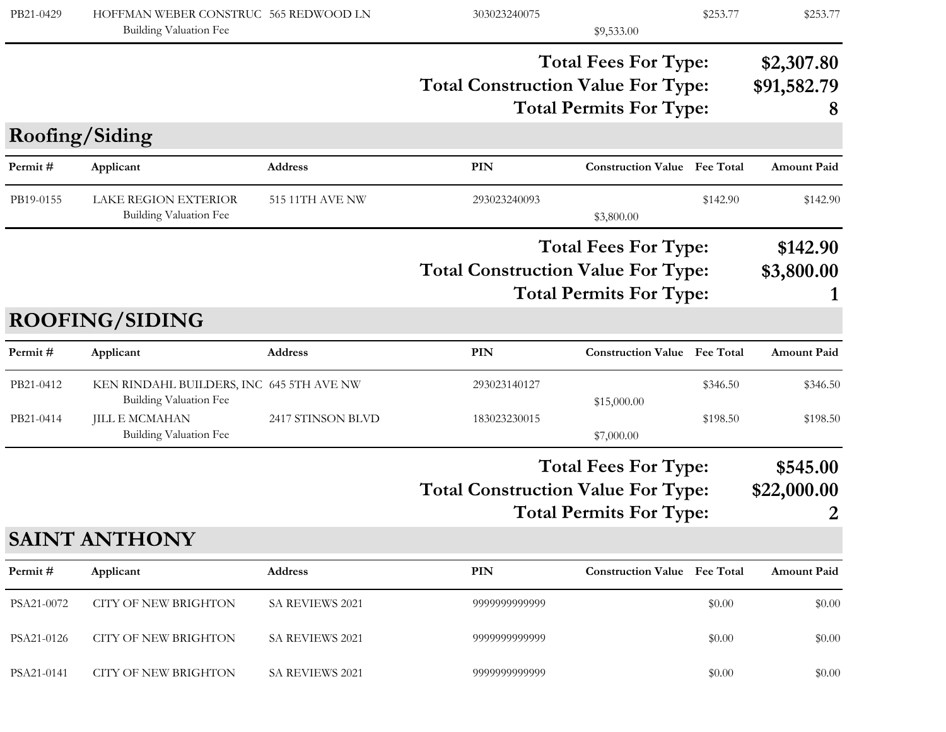| PB21-0429              | HOFFMAN WEBER CONSTRUC 565 REDWOOD LN<br>Building Valuation Fee                                                              |                   | 303023240075                              | \$9,533.00                                                    | \$253.77             | \$253.77                       |
|------------------------|------------------------------------------------------------------------------------------------------------------------------|-------------------|-------------------------------------------|---------------------------------------------------------------|----------------------|--------------------------------|
|                        |                                                                                                                              |                   | <b>Total Construction Value For Type:</b> | <b>Total Fees For Type:</b><br><b>Total Permits For Type:</b> |                      | \$2,307.80<br>\$91,582.79<br>8 |
|                        | Roofing/Siding                                                                                                               |                   |                                           |                                                               |                      |                                |
| Permit#                | Applicant                                                                                                                    | Address           | PIN                                       | <b>Construction Value Fee Total</b>                           |                      | <b>Amount Paid</b>             |
| PB19-0155              | <b>LAKE REGION EXTERIOR</b><br>Building Valuation Fee                                                                        | 515 11TH AVE NW   | 293023240093                              | \$3,800.00                                                    | \$142.90             | \$142.90                       |
|                        |                                                                                                                              |                   | <b>Total Construction Value For Type:</b> | <b>Total Fees For Type:</b><br><b>Total Permits For Type:</b> |                      | \$142.90<br>\$3,800.00         |
|                        | <b>ROOFING/SIDING</b>                                                                                                        |                   |                                           |                                                               |                      |                                |
| Permit#                | Applicant                                                                                                                    | Address           | PIN                                       | <b>Construction Value</b> Fee Total                           |                      | <b>Amount Paid</b>             |
| PB21-0412<br>PB21-0414 | KEN RINDAHL BUILDERS, INC 645 5TH AVE NW<br><b>Building Valuation Fee</b><br><b>JILL E MCMAHAN</b><br>Building Valuation Fee | 2417 STINSON BLVD | 293023140127<br>183023230015              | \$15,000.00<br>\$7,000.00                                     | \$346.50<br>\$198.50 | \$346.50<br>\$198.50           |
|                        |                                                                                                                              |                   | <b>Total Construction Value For Type:</b> | <b>Total Fees For Type:</b><br><b>Total Permits For Type:</b> |                      | \$545.00<br>\$22,000.00<br>2   |
|                        | <b>SAINT ANTHONY</b>                                                                                                         |                   |                                           |                                                               |                      |                                |
| Permit#                | Applicant                                                                                                                    | Address           | PIN                                       | <b>Construction Value Fee Total</b>                           |                      | <b>Amount Paid</b>             |
| PSA21-0072             | <b>CITY OF NEW BRIGHTON</b>                                                                                                  | SA REVIEWS 2021   | 9999999999999                             |                                                               | \$0.00               | \$0.00                         |
| PSA21-0126             | <b>CITY OF NEW BRIGHTON</b>                                                                                                  | SA REVIEWS 2021   | 9999999999999                             |                                                               | \$0.00               | \$0.00                         |
| PSA21-0141             | <b>CITY OF NEW BRIGHTON</b>                                                                                                  | SA REVIEWS 2021   | 9999999999999                             |                                                               | \$0.00               | \$0.00                         |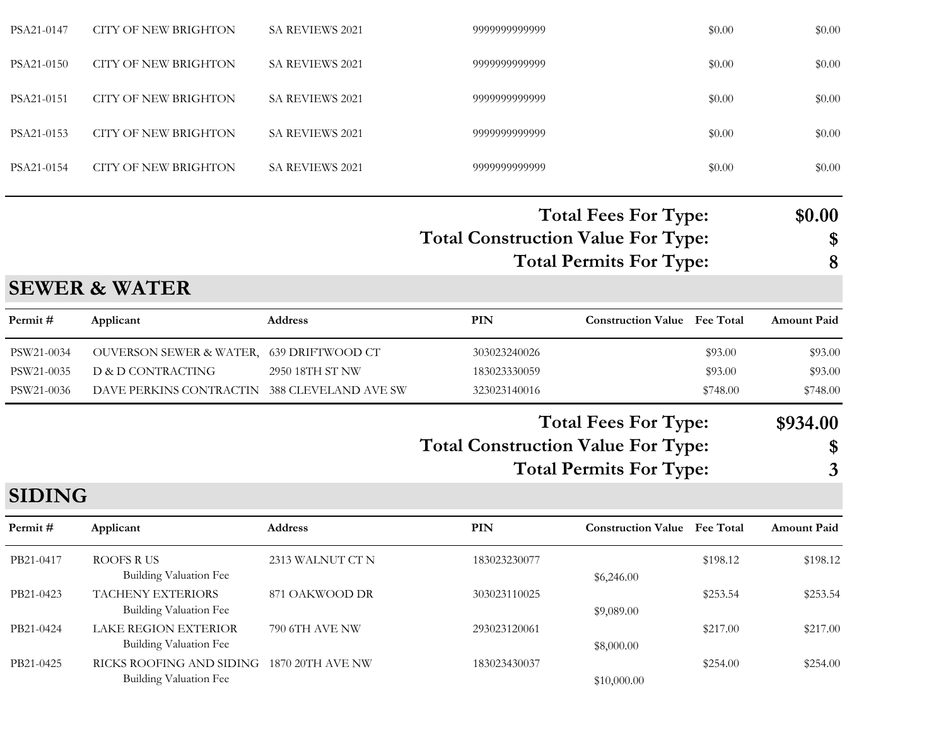| PSA21-0147 | CITY OF NEW BRIGHTON | <b>SA REVIEWS 2021</b> | 9999999999999 | \$0.00 | \$0.00 |
|------------|----------------------|------------------------|---------------|--------|--------|
| PSA21-0150 | CITY OF NEW BRIGHTON | <b>SA REVIEWS 2021</b> | 9999999999999 | \$0.00 | \$0.00 |
| PSA21-0151 | CITY OF NEW BRIGHTON | <b>SA REVIEWS 2021</b> | 9999999999999 | \$0.00 | \$0.00 |
| PSA21-0153 | CITY OF NEW BRIGHTON | <b>SA REVIEWS 2021</b> | 9999999999999 | \$0.00 | \$0.00 |
| PSA21-0154 | CITY OF NEW BRIGHTON | <b>SA REVIEWS 2021</b> | 9999999999999 | \$0.00 | \$0.00 |
|            |                      |                        |               |        |        |

#### **Total Construction Value For Type: \$ Total Fees For Type: \$0.00 Total Permits For Type: 8**

#### **SEWER & WATER**

| Permit #   | Applicant                                    | <b>Address</b>  | PIN          | <b>Construction Value</b> Fee Total |          | <b>Amount Paid</b> |
|------------|----------------------------------------------|-----------------|--------------|-------------------------------------|----------|--------------------|
| PSW21-0034 | OUVERSON SEWER & WATER, 639 DRIFTWOOD CT     |                 | 303023240026 |                                     | \$93.00  | \$93.00            |
| PSW21-0035 | D & D CONTRACTING                            | 2950 18TH ST NW | 183023330059 |                                     | \$93.00  | \$93.00            |
| PSW21-0036 | DAVE PERKINS CONTRACTIN 388 CLEVELAND AVE SW |                 | 323023140016 |                                     | \$748.00 | \$748.00           |
|            |                                              |                 |              |                                     |          |                    |

# **Total Construction Value For Type: \$ Total Fees For Type: \$934.00**

**Total Permits For Type: 3**

#### **SIDING**

| Permit#   | Applicant                                                           | <b>Address</b>   | PIN          | <b>Construction Value</b> Fee Total |          | <b>Amount Paid</b> |
|-----------|---------------------------------------------------------------------|------------------|--------------|-------------------------------------|----------|--------------------|
| PB21-0417 | ROOFS R US<br>Building Valuation Fee                                | 2313 WALNUT CT N | 183023230077 | \$6,246.00                          | \$198.12 | \$198.12           |
| PB21-0423 | <b>TACHENY EXTERIORS</b><br>Building Valuation Fee                  | 871 OAKWOOD DR   | 303023110025 | \$9,089.00                          | \$253.54 | \$253.54           |
| PB21-0424 | LAKE REGION EXTERIOR<br>Building Valuation Fee                      | 790 6TH AVE NW   | 293023120061 | \$8,000.00                          | \$217.00 | \$217.00           |
| PB21-0425 | RICKS ROOFING AND SIDING 1870 20TH AVE NW<br>Building Valuation Fee |                  | 183023430037 | \$10,000.00                         | \$254.00 | \$254.00           |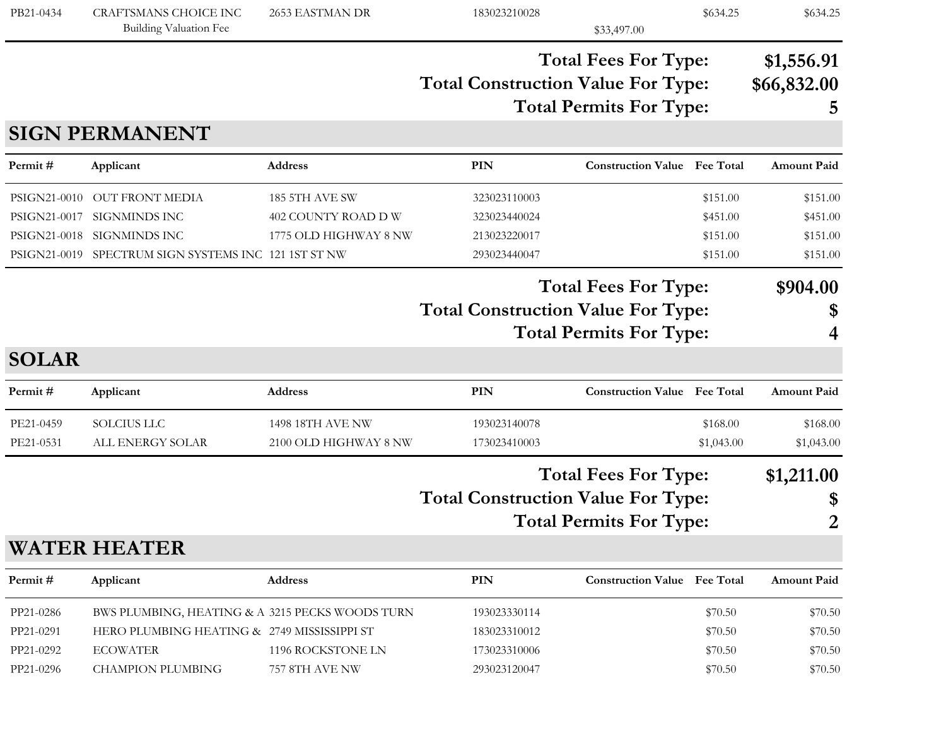| PB21-0434                                                    | <b>CRAFTSMANS CHOICE INC</b><br>Building Valuation Fee                                                                                        | 2653 EASTMAN DR                                                | 183023210028                                                                                               | \$33,497.00                                                   | \$634.25                                     | \$634.25                                     |
|--------------------------------------------------------------|-----------------------------------------------------------------------------------------------------------------------------------------------|----------------------------------------------------------------|------------------------------------------------------------------------------------------------------------|---------------------------------------------------------------|----------------------------------------------|----------------------------------------------|
|                                                              |                                                                                                                                               |                                                                | <b>Total Construction Value For Type:</b>                                                                  | <b>Total Fees For Type:</b><br><b>Total Permits For Type:</b> |                                              | \$1,556.91<br>\$66,832.00<br>5               |
|                                                              | <b>SIGN PERMANENT</b>                                                                                                                         |                                                                |                                                                                                            |                                                               |                                              |                                              |
| Permit#                                                      | Applicant                                                                                                                                     | Address                                                        | PIN                                                                                                        | <b>Construction Value</b> Fee Total                           |                                              | Amount Paid                                  |
| PSIGN21-0010<br>PSIGN21-0017<br>PSIGN21-0018<br>PSIGN21-0019 | OUT FRONT MEDIA<br><b>SIGNMINDS INC</b><br>SIGNMINDS INC<br>SPECTRUM SIGN SYSTEMS INC 121 1ST ST NW                                           | 185 5TH AVE SW<br>402 COUNTY ROAD D W<br>1775 OLD HIGHWAY 8 NW | 323023110003<br>323023440024<br>213023220017<br>293023440047                                               |                                                               | \$151.00<br>\$451.00<br>\$151.00<br>\$151.00 | \$151.00<br>\$451.00<br>\$151.00<br>\$151.00 |
|                                                              |                                                                                                                                               |                                                                | <b>Total Fees For Type:</b><br><b>Total Construction Value For Type:</b><br><b>Total Permits For Type:</b> |                                                               |                                              | \$904.00                                     |
| <b>SOLAR</b>                                                 |                                                                                                                                               |                                                                |                                                                                                            |                                                               |                                              |                                              |
| Permit#                                                      | Applicant                                                                                                                                     | <b>Address</b>                                                 | <b>PIN</b>                                                                                                 | <b>Construction Value</b> Fee Total                           |                                              | Amount Paid                                  |
| PE21-0459<br>PE21-0531                                       | <b>SOLCIUS LLC</b><br>ALL ENERGY SOLAR                                                                                                        | 1498 18TH AVE NW<br>2100 OLD HIGHWAY 8 NW                      | 193023140078<br>173023410003                                                                               |                                                               | \$168.00<br>\$1,043.00                       | \$168.00<br>\$1,043.00                       |
|                                                              |                                                                                                                                               |                                                                | <b>Total Construction Value For Type:</b>                                                                  | <b>Total Fees For Type:</b><br><b>Total Permits For Type:</b> |                                              | \$1,211.00<br>\$<br>2                        |
|                                                              | <b>WATER HEATER</b>                                                                                                                           |                                                                |                                                                                                            |                                                               |                                              |                                              |
| Permit#                                                      | Applicant                                                                                                                                     | Address                                                        | <b>PIN</b>                                                                                                 | <b>Construction Value Fee Total</b>                           |                                              | Amount Paid                                  |
| PP21-0286<br>PP21-0291<br>PP21-0292<br>PP21-0296             | BWS PLUMBING, HEATING & A 3215 PECKS WOODS TURN<br>HERO PLUMBING HEATING & 2749 MISSISSIPPI ST<br><b>ECOWATER</b><br><b>CHAMPION PLUMBING</b> | 1196 ROCKSTONE LN<br>757 8TH AVE NW                            | 193023330114<br>183023310012<br>173023310006<br>293023120047                                               |                                                               | \$70.50<br>\$70.50<br>\$70.50<br>\$70.50     | \$70.50<br>\$70.50<br>\$70.50<br>\$70.50     |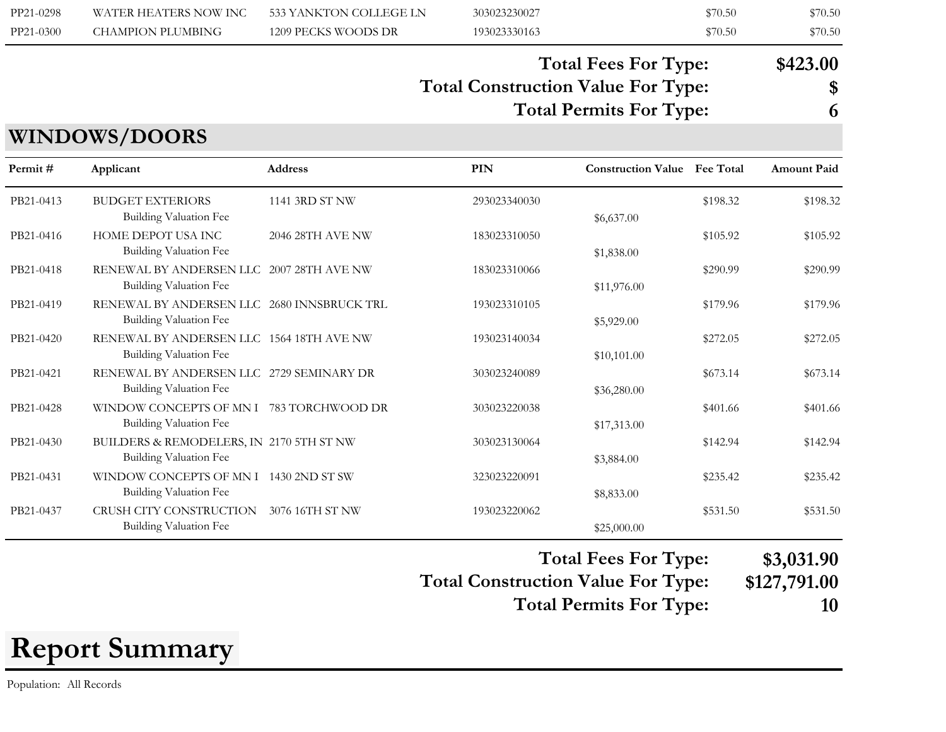| PP21-0298 | WATER HEATERS NOW INC | 533 YANKTON COLLEGE LN | 303023230027 | \$70.50 | \$70.50 |
|-----------|-----------------------|------------------------|--------------|---------|---------|
| PP21-0300 | CHAMPION PLUMBING     | 1209 PECKS WOODS DR    | 193023330163 | \$70.50 | \$70.50 |

#### **Total Construction Value For Type: \$ Total Fees For Type: \$423.00 Total Permits For Type: 6**

#### **WINDOWS/DOORS**

| Permit#   | Applicant                                                            | <b>Address</b>   | PIN          | <b>Construction Value</b> Fee Total |          | <b>Amount Paid</b> |
|-----------|----------------------------------------------------------------------|------------------|--------------|-------------------------------------|----------|--------------------|
| PB21-0413 | <b>BUDGET EXTERIORS</b><br>Building Valuation Fee                    | 1141 3RD ST NW   | 293023340030 | \$6,637.00                          | \$198.32 | \$198.32           |
| PB21-0416 | HOME DEPOT USA INC<br><b>Building Valuation Fee</b>                  | 2046 28TH AVE NW | 183023310050 | \$1,838.00                          | \$105.92 | \$105.92           |
| PB21-0418 | RENEWAL BY ANDERSEN LLC 2007 28TH AVE NW<br>Building Valuation Fee   |                  | 183023310066 | \$11,976.00                         | \$290.99 | \$290.99           |
| PB21-0419 | RENEWAL BY ANDERSEN LLC 2680 INNSBRUCK TRL<br>Building Valuation Fee |                  | 193023310105 | \$5,929.00                          | \$179.96 | \$179.96           |
| PB21-0420 | RENEWAL BY ANDERSEN LLC 1564 18TH AVE NW<br>Building Valuation Fee   |                  | 193023140034 | \$10,101.00                         | \$272.05 | \$272.05           |
| PB21-0421 | RENEWAL BY ANDERSEN LLC 2729 SEMINARY DR<br>Building Valuation Fee   |                  | 303023240089 | \$36,280.00                         | \$673.14 | \$673.14           |
| PB21-0428 | WINDOW CONCEPTS OF MN I 783 TORCHWOOD DR<br>Building Valuation Fee   |                  | 303023220038 | \$17,313.00                         | \$401.66 | \$401.66           |
| PB21-0430 | BUILDERS & REMODELERS, IN 2170 5TH ST NW<br>Building Valuation Fee   |                  | 303023130064 | \$3,884.00                          | \$142.94 | \$142.94           |
| PB21-0431 | WINDOW CONCEPTS OF MN I 1430 2ND ST SW<br>Building Valuation Fee     |                  | 323023220091 | \$8,833.00                          | \$235.42 | \$235.42           |
| PB21-0437 | CRUSH CITY CONSTRUCTION<br>Building Valuation Fee                    | 3076 16TH ST NW  | 193023220062 | \$25,000.00                         | \$531.50 | \$531.50           |

**Total Fees For Type: \$3,031.90**

**Total Construction Value For Type: \$127,791.00 Total Permits For Type: 10**

**Report Summary**

Population: All Records